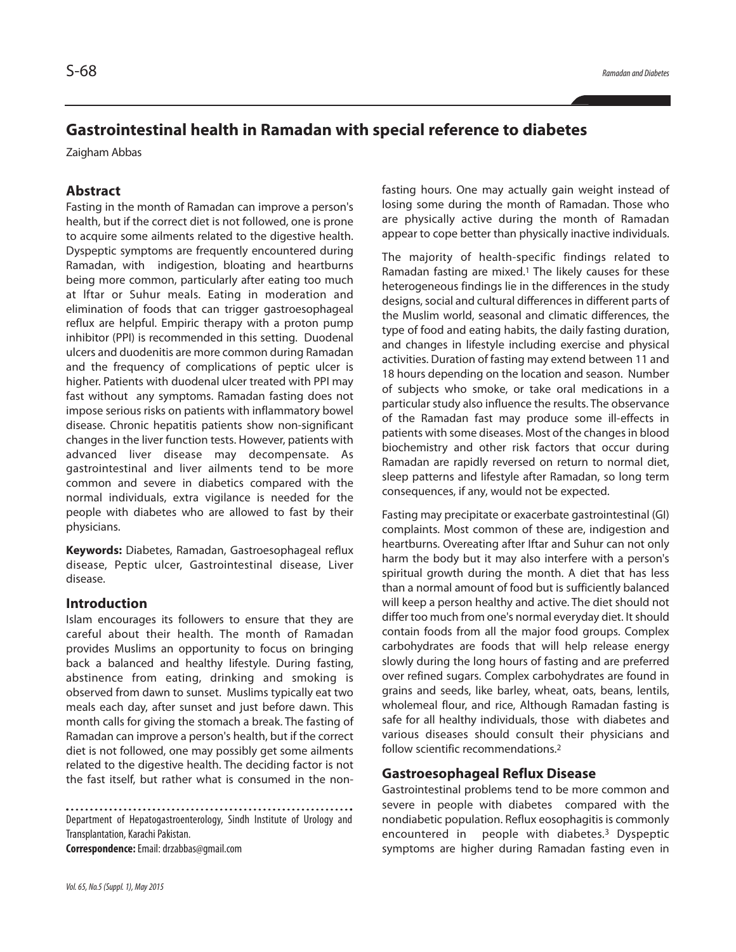# **Gastrointestinal health in Ramadan with special reference to diabetes**

Zaigham Abbas

# **Abstract**

Fasting in the month of Ramadan can improve a person's health, but if the correct diet is not followed, one is prone to acquire some ailments related to the digestive health. Dyspeptic symptoms are frequently encountered during Ramadan, with indigestion, bloating and heartburns being more common, particularly after eating too much at lftar or Suhur meals. Eating in moderation and elimination of foods that can trigger gastroesophageal reflux are helpful. Empiric therapy with a proton pump inhibitor (PPI) is recommended in this setting. Duodenal ulcers and duodenitis are more common during Ramadan and the frequency of complications of peptic ulcer is higher. Patients with duodenal ulcer treated with PPI may fast without any symptoms. Ramadan fasting does not impose serious risks on patients with inflammatory bowel disease. Chronic hepatitis patients show non-significant changes in the liver function tests. However, patients with advanced liver disease may decompensate. As gastrointestinal and liver ailments tend to be more common and severe in diabetics compared with the normal individuals, extra vigilance is needed for the people with diabetes who are allowed to fast by their physicians.

**Keywords:** Diabetes, Ramadan, Gastroesophageal reflux disease, Peptic ulcer, Gastrointestinal disease, Liver disease.

## **Introduction**

Islam encourages its followers to ensure that they are careful about their health. The month of Ramadan provides Muslims an opportunity to focus on bringing back a balanced and healthy lifestyle. During fasting, abstinence from eating, drinking and smoking is observed from dawn to sunset. Muslims typically eat two meals each day, after sunset and just before dawn. This month calls for giving the stomach a break. The fasting of Ramadan can improve a person's health, but if the correct diet is not followed, one may possibly get some ailments related to the digestive health. The deciding factor is not the fast itself, but rather what is consumed in the non-

Department of Hepatogastroenterology, Sindh Institute of Urology and Transplantation, Karachi Pakistan.

**Correspondence:**Email:drzabbas@gmail.com

fasting hours. One may actually gain weight instead of losing some during the month of Ramadan. Those who are physically active during the month of Ramadan appear to cope better than physically inactive individuals.

The majority of health-specific findings related to Ramadan fasting are mixed. <sup>1</sup> The likely causes for these heterogeneous findings lie in the differences in the study designs, social and cultural differences in different parts of the Muslim world, seasonal and climatic differences, the type of food and eating habits, the daily fasting duration, and changes in lifestyle including exercise and physical activities. Duration of fasting may extend between 11 and 18 hours depending on the location and season. Number of subjects who smoke, or take oral medications in a particular study also influence the results. The observance of the Ramadan fast may produce some ill-effects in patients with some diseases. Most of the changes in blood biochemistry and other risk factors that occur during Ramadan are rapidly reversed on return to normal diet, sleep patterns and lifestyle after Ramadan, so long term consequences, if any, would not be expected.

Fasting may precipitate or exacerbate gastrointestinal (GI) complaints. Most common of these are, indigestion and heartburns. Overeating after Iftar and Suhur can not only harm the body but it may also interfere with a person's spiritual growth during the month. A diet that has less than a normal amount of food but is sufficiently balanced will keep a person healthy and active. The diet should not differ too much from one's normal everyday diet. It should contain foods from all the major food groups. Complex carbohydrates are foods that will help release energy slowly during the long hours of fasting and are preferred over refined sugars. Complex carbohydrates are found in grains and seeds, like barley, wheat, oats, beans, lentils, wholemeal flour, and rice, Although Ramadan fasting is safe for all healthy individuals, those with diabetes and various diseases should consult their physicians and follow scientific recommendations. 2

#### **Gastroesophageal Reflux Disease**

Gastrointestinal problems tend to be more common and severe in people with diabetes compared with the nondiabetic population. Reflux eosophagitis is commonly encountered in people with diabetes. <sup>3</sup> Dyspeptic symptoms are higher during Ramadan fasting even in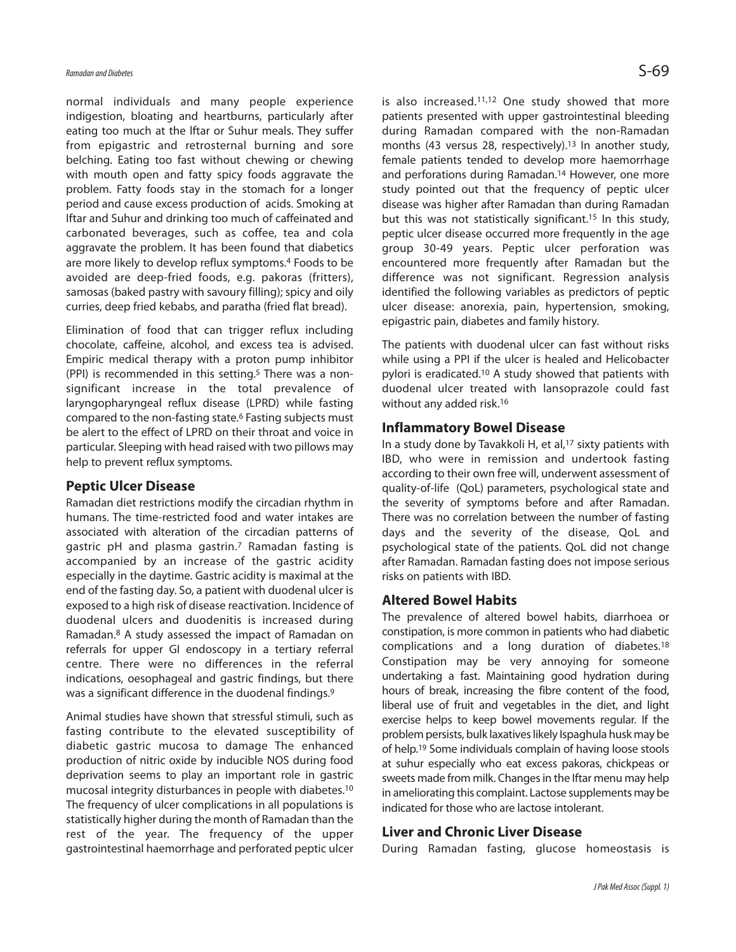normal individuals and many people experience indigestion, bloating and heartburns, particularly after eating too much at the lftar or Suhur meals. They suffer from epigastric and retrosternal burning and sore belching. Eating too fast without chewing or chewing with mouth open and fatty spicy foods aggravate the problem. Fatty foods stay in the stomach for a longer period and cause excess production of acids. Smoking at Iftar and Suhur and drinking too much of caffeinated and carbonated beverages, such as coffee, tea and cola aggravate the problem. It has been found that diabetics are more likely to develop reflux symptoms. <sup>4</sup> Foods to be avoided are deep-fried foods, e.g. pakoras (fritters), samosas (baked pastry with savoury filling); spicy and oily curries, deep fried kebabs, and paratha (fried flat bread).

Elimination of food that can trigger reflux including chocolate, caffeine, alcohol, and excess tea is advised. Empiric medical therapy with a proton pump inhibitor (PPI) is recommended in this setting. <sup>5</sup> There was a nonsignificant increase in the total prevalence of laryngopharyngeal reflux disease (LPRD) while fasting compared to the non-fasting state. <sup>6</sup> Fasting subjects must be alert to the effect of LPRD on their throat and voice in particular. Sleeping with head raised with two pillows may help to prevent reflux symptoms.

#### **Peptic Ulcer Disease**

Ramadan diet restrictions modify the circadian rhythm in humans. The time-restricted food and water intakes are associated with alteration of the circadian patterns of gastric pH and plasma gastrin. <sup>7</sup> Ramadan fasting is accompanied by an increase of the gastric acidity especially in the daytime. Gastric acidity is maximal at the end of the fasting day. So, a patient with duodenal ulcer is exposed to a high risk of disease reactivation. Incidence of duodenal ulcers and duodenitis is increased during Ramadan. <sup>8</sup> A study assessed the impact of Ramadan on referrals for upper GI endoscopy in a tertiary referral centre. There were no differences in the referral indications, oesophageal and gastric findings, but there was a significant difference in the duodenal findings. 9

Animal studies have shown that stressful stimuli, such as fasting contribute to the elevated susceptibility of diabetic gastric mucosa to damage The enhanced production of nitric oxide by inducible NOS during food deprivation seems to play an important role in gastric mucosal integrity disturbances in people with diabetes. 10 The frequency of ulcer complications in all populations is statistically higher during the month of Ramadan than the rest of the year. The frequency of the upper gastrointestinal haemorrhage and perforated peptic ulcer

is also increased. 11,12 One study showed that more patients presented with upper gastrointestinal bleeding during Ramadan compared with the non-Ramadan months (43 versus 28, respectively). <sup>13</sup> In another study, female patients tended to develop more haemorrhage and perforations during Ramadan. <sup>14</sup> However, one more study pointed out that the frequency of peptic ulcer disease was higher after Ramadan than during Ramadan but this was not statistically significant. <sup>15</sup> In this study, peptic ulcer disease occurred more frequently in the age group 30-49 years. Peptic ulcer perforation was encountered more frequently after Ramadan but the difference was not significant. Regression analysis identified the following variables as predictors of peptic ulcer disease: anorexia, pain, hypertension, smoking, epigastric pain, diabetes and family history.

The patients with duodenal ulcer can fast without risks while using a PPI if the ulcer is healed and Helicobacter pylori is eradicated. <sup>10</sup> A study showed that patients with duodenal ulcer treated with lansoprazole could fast without any added risk. 16

#### **Inflammatory Bowel Disease**

In a study done by Tavakkoli H, et al, <sup>17</sup> sixty patients with IBD, who were in remission and undertook fasting according to their own free will, underwent assessment of quality-of-life (QoL) parameters, psychological state and the severity of symptoms before and after Ramadan. There was no correlation between the number of fasting days and the severity of the disease, QoL and psychological state of the patients. QoL did not change after Ramadan. Ramadan fasting does not impose serious risks on patients with IBD.

## **Altered Bowel Habits**

The prevalence of altered bowel habits, diarrhoea or constipation, is more common in patients who had diabetic complications and a long duration of diabetes. 18 Constipation may be very annoying for someone undertaking a fast. Maintaining good hydration during hours of break, increasing the fibre content of the food, liberal use of fruit and vegetables in the diet, and light exercise helps to keep bowel movements regular. If the problem persists, bulk laxatives likely Ispaghula husk may be of help. <sup>19</sup> Some individuals complain of having loose stools at suhur especially who eat excess pakoras, chickpeas or sweets made from milk. Changes in the Iftar menu may help in ameliorating this complaint. Lactose supplements may be indicated for those who are lactose intolerant.

## **Liver and Chronic Liver Disease**

During Ramadan fasting, glucose homeostasis is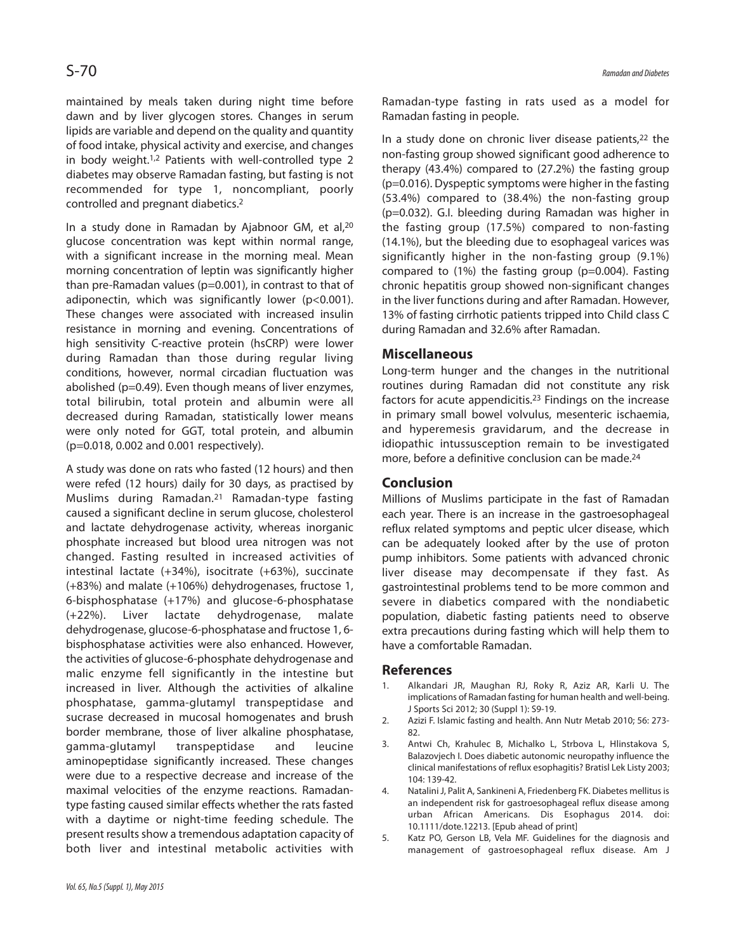maintained by meals taken during night time before dawn and by liver glycogen stores. Changes in serum lipids are variable and depend on the quality and quantity of food intake, physical activity and exercise, and changes in body weight.<sup>1,2</sup> Patients with well-controlled type 2 diabetes may observe Ramadan fasting, but fasting is not recommended for type 1, noncompliant, poorly controlled and pregnant diabetics. 2

In a study done in Ramadan by Ajabnoor GM, et al, 20 glucose concentration was kept within normal range, with a significant increase in the morning meal. Mean morning concentration of leptin was significantly higher than pre-Ramadan values (p=0.001), in contrast to that of adiponectin, which was significantly lower (p<0.001). These changes were associated with increased insulin resistance in morning and evening. Concentrations of high sensitivity C-reactive protein (hsCRP) were lower during Ramadan than those during regular living conditions, however, normal circadian fluctuation was abolished (p=0.49). Even though means of liver enzymes, total bilirubin, total protein and albumin were all decreased during Ramadan, statistically lower means were only noted for GGT, total protein, and albumin (p=0.018, 0.002 and 0.001 respectively).

A study was done on rats who fasted (12 hours) and then were refed (12 hours) daily for 30 days, as practised by Muslims during Ramadan. <sup>21</sup> Ramadan-type fasting caused a significant decline in serum glucose, cholesterol and lactate dehydrogenase activity, whereas inorganic phosphate increased but blood urea nitrogen was not changed. Fasting resulted in increased activities of intestinal lactate (+34%), isocitrate (+63%), succinate (+83%) and malate (+106%) dehydrogenases, fructose 1, 6-bisphosphatase (+17%) and glucose-6-phosphatase (+22%). Liver lactate dehydrogenase, malate dehydrogenase, glucose-6-phosphatase and fructose 1, 6 bisphosphatase activities were also enhanced. However, the activities of glucose-6-phosphate dehydrogenase and malic enzyme fell significantly in the intestine but increased in liver. Although the activities of alkaline phosphatase, gamma-glutamyl transpeptidase and sucrase decreased in mucosal homogenates and brush border membrane, those of liver alkaline phosphatase, gamma-glutamyl transpeptidase and leucine aminopeptidase significantly increased. These changes were due to a respective decrease and increase of the maximal velocities of the enzyme reactions. Ramadantype fasting caused similar effects whether the rats fasted with a daytime or night-time feeding schedule. The present results show a tremendous adaptation capacity of both liver and intestinal metabolic activities with Ramadan-type fasting in rats used as a model for Ramadan fasting in people.

In a study done on chronic liver disease patients, 22 the non-fasting group showed significant good adherence to therapy (43.4%) compared to (27.2%) the fasting group (p=0.016). Dyspeptic symptoms were higher in the fasting (53.4%) compared to (38.4%) the non-fasting group (p=0.032). G.I. bleeding during Ramadan was higher in the fasting group (17.5%) compared to non-fasting (14.1%), but the bleeding due to esophageal varices was significantly higher in the non-fasting group (9.1%) compared to (1%) the fasting group (p=0.004). Fasting chronic hepatitis group showed non-significant changes in the liver functions during and after Ramadan. However, 13% of fasting cirrhotic patients tripped into Child class C during Ramadan and 32.6% after Ramadan.

#### **Miscellaneous**

Long-term hunger and the changes in the nutritional routines during Ramadan did not constitute any risk factors for acute appendicitis. <sup>23</sup> Findings on the increase in primary small bowel volvulus, mesenteric ischaemia, and hyperemesis gravidarum, and the decrease in idiopathic intussusception remain to be investigated more, before a definitive conclusion can be made. 24

#### **Conclusion**

Millions of Muslims participate in the fast of Ramadan each year. There is an increase in the gastroesophageal reflux related symptoms and peptic ulcer disease, which can be adequately looked after by the use of proton pump inhibitors. Some patients with advanced chronic liver disease may decompensate if they fast. As gastrointestinal problems tend to be more common and severe in diabetics compared with the nondiabetic population, diabetic fasting patients need to observe extra precautions during fasting which will help them to have a comfortable Ramadan.

#### **References**

- 1. Alkandari JR, Maughan RJ, Roky R, Aziz AR, Karli U. The implications of Ramadan fasting for human health and well-being. J Sports Sci 2012; 30 (Suppl 1): S9-19.
- 2. Azizi F. Islamic fasting and health. Ann Nutr Metab 2010; 56: 273- 82.
- 3. Antwi Ch, Krahulec B, Michalko L, Strbova L, Hlinstakova S, Balazovjech I. Does diabetic autonomic neuropathy influence the clinical manifestations of reflux esophagitis? Bratisl Lek Listy 2003; 104: 139-42.
- 4. Natalini J, Palit A, Sankineni A, Friedenberg FK. Diabetes mellitusis an independent risk for gastroesophageal reflux disease among urban African Americans. Dis Esophagus 2014. doi: 10.1111/dote.12213. [Epub ahead of print]
- 5. Katz PO, Gerson LB, Vela MF. Guidelines for the diagnosis and management of gastroesophageal reflux disease. Am J